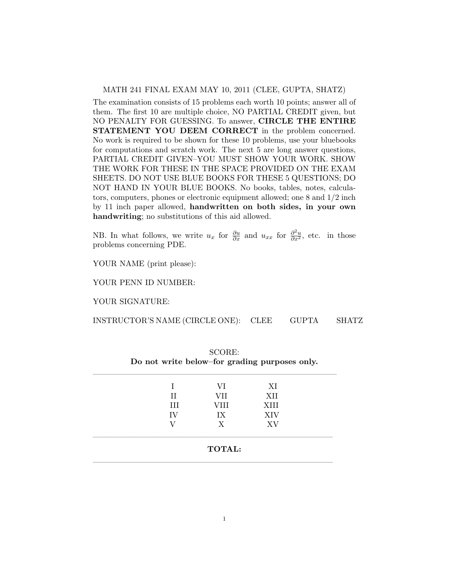## MATH 241 FINAL EXAM MAY 10, 2011 (CLEE, GUPTA, SHATZ)

The examination consists of 15 problems each worth 10 points; answer all of them. The first 10 are multiple choice, NO PARTIAL CREDIT given, but NO PENALTY FOR GUESSING. To answer, CIRCLE THE ENTIRE STATEMENT YOU DEEM CORRECT in the problem concerned. No work is required to be shown for these 10 problems, use your bluebooks for computations and scratch work. The next 5 are long answer questions, PARTIAL CREDIT GIVEN–YOU MUST SHOW YOUR WORK. SHOW THE WORK FOR THESE IN THE SPACE PROVIDED ON THE EXAM SHEETS. DO NOT USE BLUE BOOKS FOR THESE 5 QUESTIONS; DO NOT HAND IN YOUR BLUE BOOKS. No books, tables, notes, calculators, computers, phones or electronic equipment allowed; one 8 and 1/2 inch by 11 inch paper allowed, handwritten on both sides, in your own handwriting; no substitutions of this aid allowed.

NB. In what follows, we write  $u_x$  for  $\frac{\partial u}{\partial x}$  and  $u_{xx}$  for  $\frac{\partial^2 u}{\partial x^2}$ , etc. in those problems concerning PDE.

YOUR NAME (print please):

YOUR PENN ID NUMBER:

YOUR SIGNATURE:

| INSTRUCTOR'S NAME (CIRCLE ONE): | <b>CLEE</b> | <b>GUPTA</b> | <b>SHATZ</b> |
|---------------------------------|-------------|--------------|--------------|
|                                 |             |              |              |

|    | VI   | ΧI         |
|----|------|------------|
| H  | VII  | XII        |
| Ħ  | VIII | XIII       |
| IV | IX   | <b>XIV</b> |
|    | X    | XV         |

| SCORE: |  |                                               |  |  |  |  |  |
|--------|--|-----------------------------------------------|--|--|--|--|--|
|        |  | Do not write below-for grading purposes only. |  |  |  |  |  |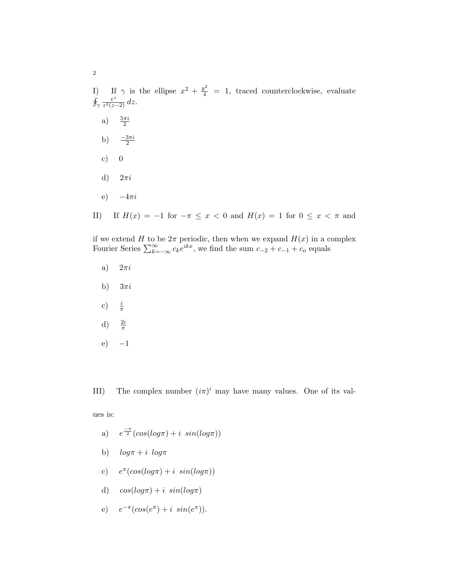I) If  $\gamma$  is the ellipse  $x^2 + \frac{y^2}{4} = 1$ , traced counterclockwise, evaluate  $\oint_{\gamma}$ e z  $rac{e^z}{z^2(z-2)}$  dz. a)  $\frac{5\pi i}{2}$ b)  $\frac{-3\pi i}{2}$ c)  $0$ d)  $2\pi i$ e)  $-4\pi i$ II) If  $H(x) = -1$  for  $-\pi \le x < 0$  and  $H(x) = 1$  for  $0 \le x < \pi$  and

if we extend H to be  $2\pi$  periodic, then when we expand  $H(x)$  in a complex Fourier Series  $\sum_{k=-\infty}^{\infty} c_k e^{ikx}$ , we find the sum  $c_{-2} + c_{-1} + c_o$  equals

- a)  $2\pi i$
- b)  $3\pi i$
- c)  $\frac{i}{\pi}$
- d)  $\frac{2i}{\pi}$
- $(e)$   $-1$

III) The complex number  $(i\pi)^i$  may have many values. One of its val-

ues is:

- a)  $e^{\frac{-\pi}{2}}(cos(log\pi) + i sin(log\pi))$
- b)  $log \pi + i log \pi$
- c)  $e^{\pi}(\cos(\log \pi) + i \sin(\log \pi))$
- d)  $cos(log\pi) + i sin(log\pi)$
- e)  $e^{-\pi}(\cos(e^{\pi}) + i \sin(e^{\pi}))$ .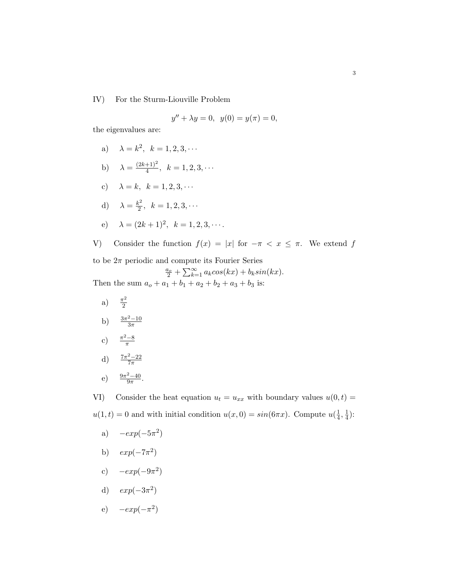IV) For the Sturm-Liouville Problem

$$
y'' + \lambda y = 0, \ \ y(0) = y(\pi) = 0,
$$

the eigenvalues are:

- a)  $\lambda = k^2, \, k = 1, 2, 3, \cdots$
- b)  $\lambda = \frac{(2k+1)^2}{4}$  $\frac{+1}{4}$ ,  $k = 1, 2, 3, \cdots$
- c)  $\lambda = k, \; k = 1, 2, 3, \cdots$
- d)  $\lambda = \frac{k^2}{2}$  $\frac{k^2}{2}, k = 1, 2, 3, \cdots$
- e)  $\lambda = (2k+1)^2, \; k = 1, 2, 3, \cdots$ .

V) Consider the function  $f(x) = |x|$  for  $-\pi < x \leq \pi$ . We extend f to be  $2\pi$  periodic and compute its Fourier Series

$$
\frac{a_o}{2} + \sum_{k=1}^{\infty} a_k \cos(kx) + b_k \sin(kx).
$$

Then the sum  $a_0 + a_1 + b_1 + a_2 + b_2 + a_3 + b_3$  is:

- a)  $\frac{\pi^2}{2}$ 2 b)  $\frac{3\pi^2 - 10}{3\pi}$  $\overline{3\pi}$
- c)  $\frac{\pi^2 8}{\pi}$ π
- d)  $\frac{7\pi^2 22}{7\pi}$  $7\pi$
- e)  $\frac{9\pi^2 40}{9\pi}$  $\frac{2-40}{9\pi}$ .

VI) Consider the heat equation  $u_t = u_{xx}$  with boundary values  $u(0, t) =$  $u(1,t) = 0$  and with initial condition  $u(x, 0) = \sin(6\pi x)$ . Compute  $u(\frac{1}{4})$  $\frac{1}{4}, \frac{1}{4}$  $\frac{1}{4}$ ):

- a)  $-exp(-5\pi^2)$
- b)  $exp(-7\pi^2)$
- c)  $-exp(-9\pi^2)$
- d)  $exp(-3\pi^2)$
- e)  $-exp(-\pi^2)$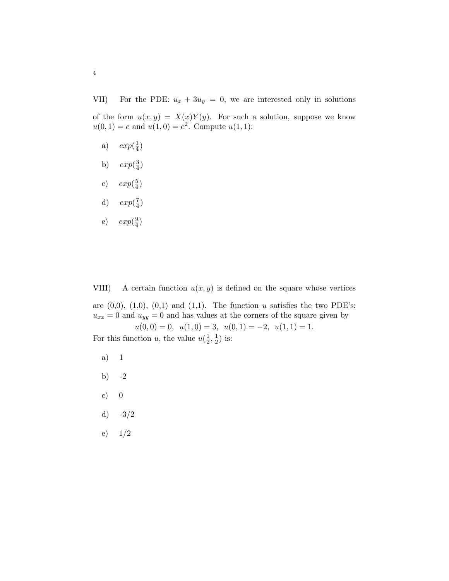VII) For the PDE:  $u_x + 3u_y = 0$ , we are interested only in solutions

of the form  $u(x, y) = X(x)Y(y)$ . For such a solution, suppose we know  $u(0, 1) = e$  and  $u(1, 0) = e^2$ . Compute  $u(1, 1)$ :

- a)  $exp(\frac{1}{4})$  $\frac{1}{4})$
- b)  $exp(\frac{3}{4})$  $\frac{3}{4})$
- c)  $exp(\frac{5}{4})$  $\frac{5}{4})$
- d)  $exp(\frac{7}{4})$  $\frac{7}{4})$
- e)  $exp(\frac{9}{4})$  $\frac{9}{4})$

VIII) A certain function  $u(x, y)$  is defined on the square whose vertices

are  $(0,0)$ ,  $(1,0)$ ,  $(0,1)$  and  $(1,1)$ . The function u satisfies the two PDE's:  $u_{xx} = 0$  and  $u_{yy} = 0$  and has values at the corners of the square given by  $u(0, 0) = 0, u(1, 0) = 3, u(0, 1) = -2, u(1, 1) = 1.$ 

For this function u, the value  $u(\frac{1}{2})$  $\frac{1}{2}, \frac{1}{2}$  $(\frac{1}{2})$  is:

- a) 1
- b)  $-2$
- c)  $0$
- d)  $-3/2$
- e) 1/2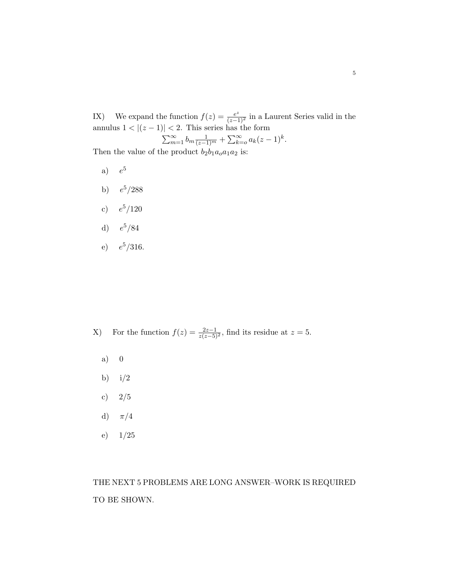IX) We expand the function  $f(z) = \frac{e^z}{(z-1)^2}$  in a Laurent Series valid in the annulus  $1 < |(z-1)| < 2$ . This series has the form

$$
\sum_{m=1}^{\infty} b_m \frac{1}{(z-1)^m} + \sum_{k=0}^{\infty} a_k (z-1)^k.
$$

Then the value of the product  $b_2b_1a_0a_1a_2$  is:

- $a)$  $e^5$
- b)  $e^5/288$
- c)  $e^5/120$
- d)  $e^5/84$
- e)  $e^5/316$ .

X) For the function  $f(z) = \frac{2z-1}{z(z-5)^2}$ , find its residue at  $z = 5$ .

- a) 0
- b)  $i/2$
- c)  $2/5$
- d)  $\pi/4$
- e) 1/25

THE NEXT 5 PROBLEMS ARE LONG ANSWER–WORK IS REQUIRED TO BE SHOWN.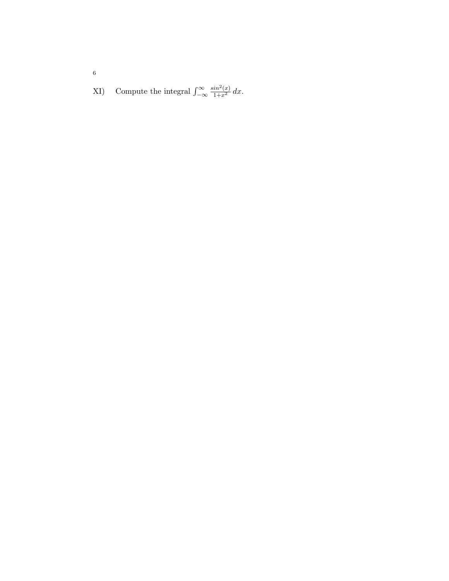XI) Compute the integral  $\int_{-\infty}^{\infty}$  $\frac{\sin^2(x)}{1+x^2} dx.$ 

6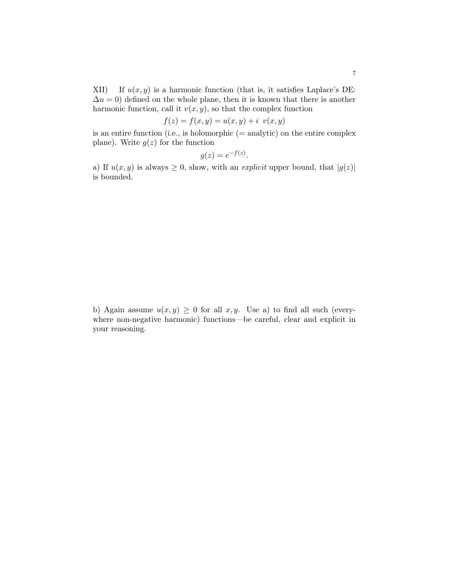XII) If  $u(x, y)$  is a harmonic function (that is, it satisfies Laplace's DE:  $\Delta u = 0$ ) defined on the whole plane, then it is known that there is another harmonic function, call it  $v(x, y)$ , so that the complex function

$$
f(z) = f(x, y) = u(x, y) + i v(x, y)
$$

is an entire function (i.e., is holomorphic  $(=$  analytic) on the entire complex plane). Write  $g(z)$  for the function

$$
g(z) = e^{-f(z)}.
$$

a) If  $u(x, y)$  is always  $\geq 0$ , show, with an *explicit* upper bound, that  $|g(z)|$ is bounded.

b) Again assume  $u(x, y) \geq 0$  for all  $x, y$ . Use a) to find all such (everywhere non-negative harmonic) functions—be careful, clear and explicit in your reasoning.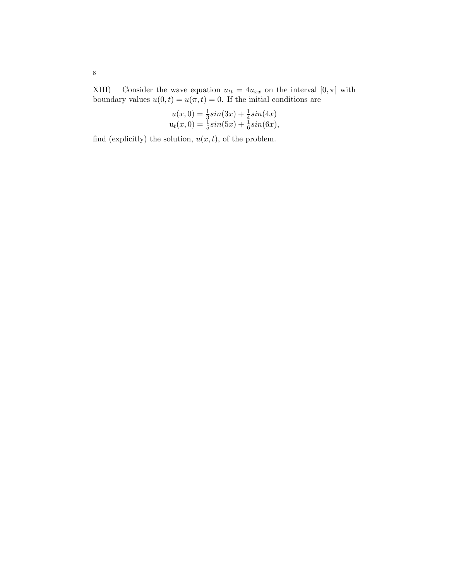XIII) Consider the wave equation  $u_{tt} = 4u_{xx}$  on the interval  $[0, \pi]$  with boundary values  $u(0, t) = u(\pi, t) = 0$ . If the initial conditions are

$$
u(x, 0) = \frac{1}{3}\sin(3x) + \frac{1}{4}\sin(4x)
$$
  

$$
u_t(x, 0) = \frac{1}{5}\sin(5x) + \frac{1}{6}\sin(6x),
$$

find (explicitly) the solution,  $u(x, t)$ , of the problem.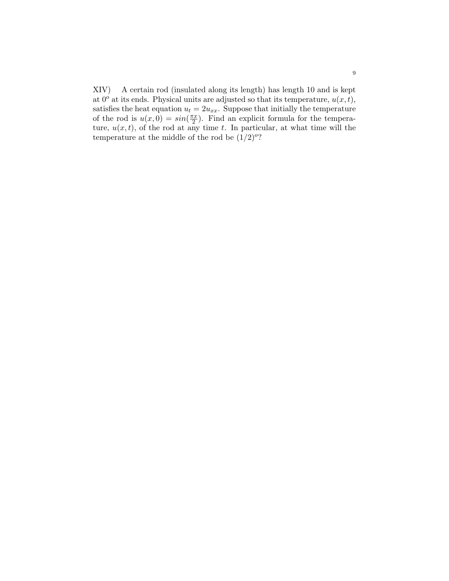XIV) A certain rod (insulated along its length) has length 10 and is kept at  $0^{\circ}$  at its ends. Physical units are adjusted so that its temperature,  $u(x, t)$ , satisfies the heat equation  $u_t = 2u_{xx}$ . Suppose that initially the temperature of the rod is  $u(x, 0) = \sin(\frac{\pi x}{2})$  $\frac{\pi x}{2}$ ). Find an explicit formula for the temperature,  $u(x, t)$ , of the rod at any time t. In particular, at what time will the temperature at the middle of the rod be  $(1/2)^{o}$ ?